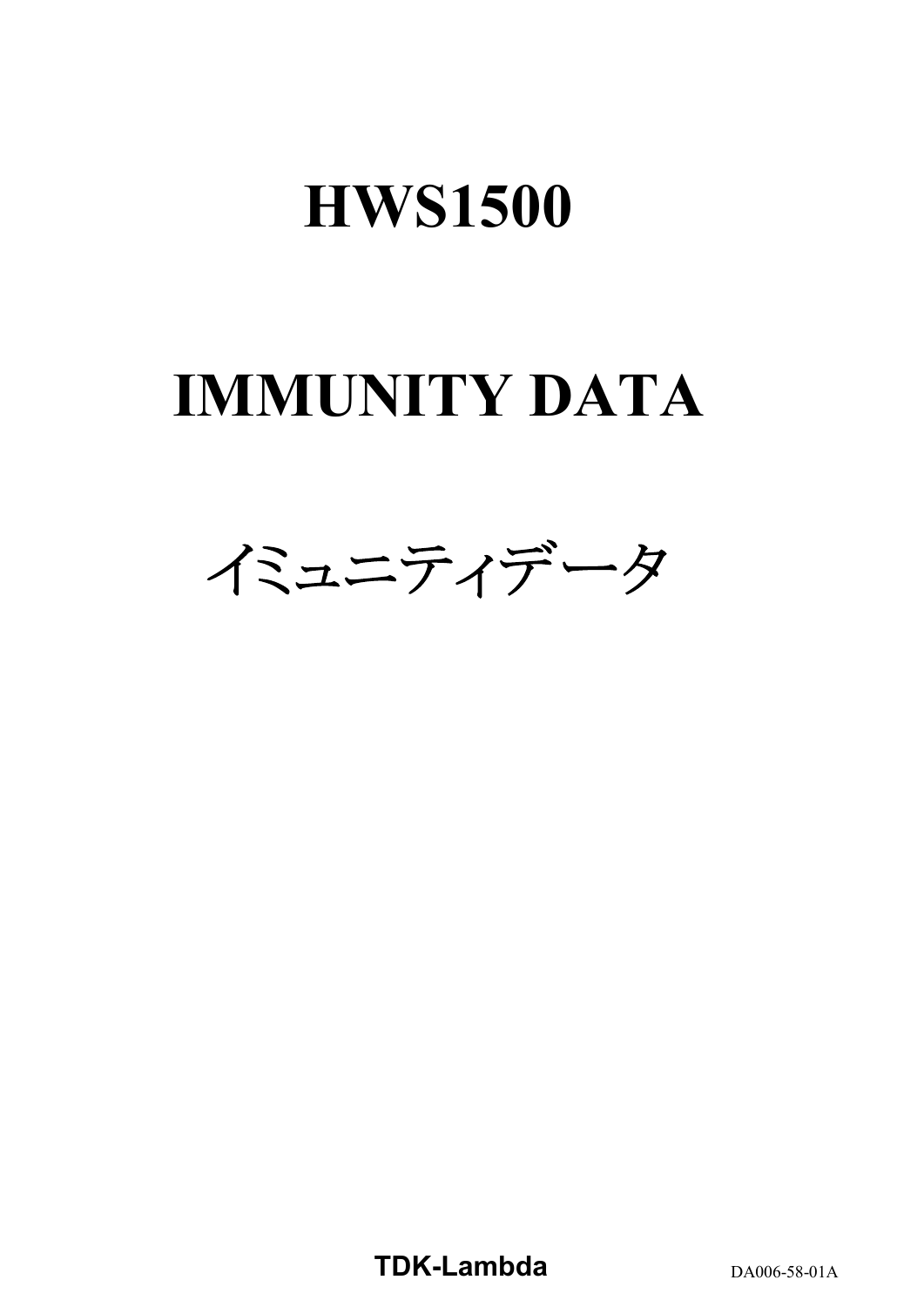# **HWS1500**

# **IMMUNITY DATA**



**TDK-Lambda** DA006-58-01A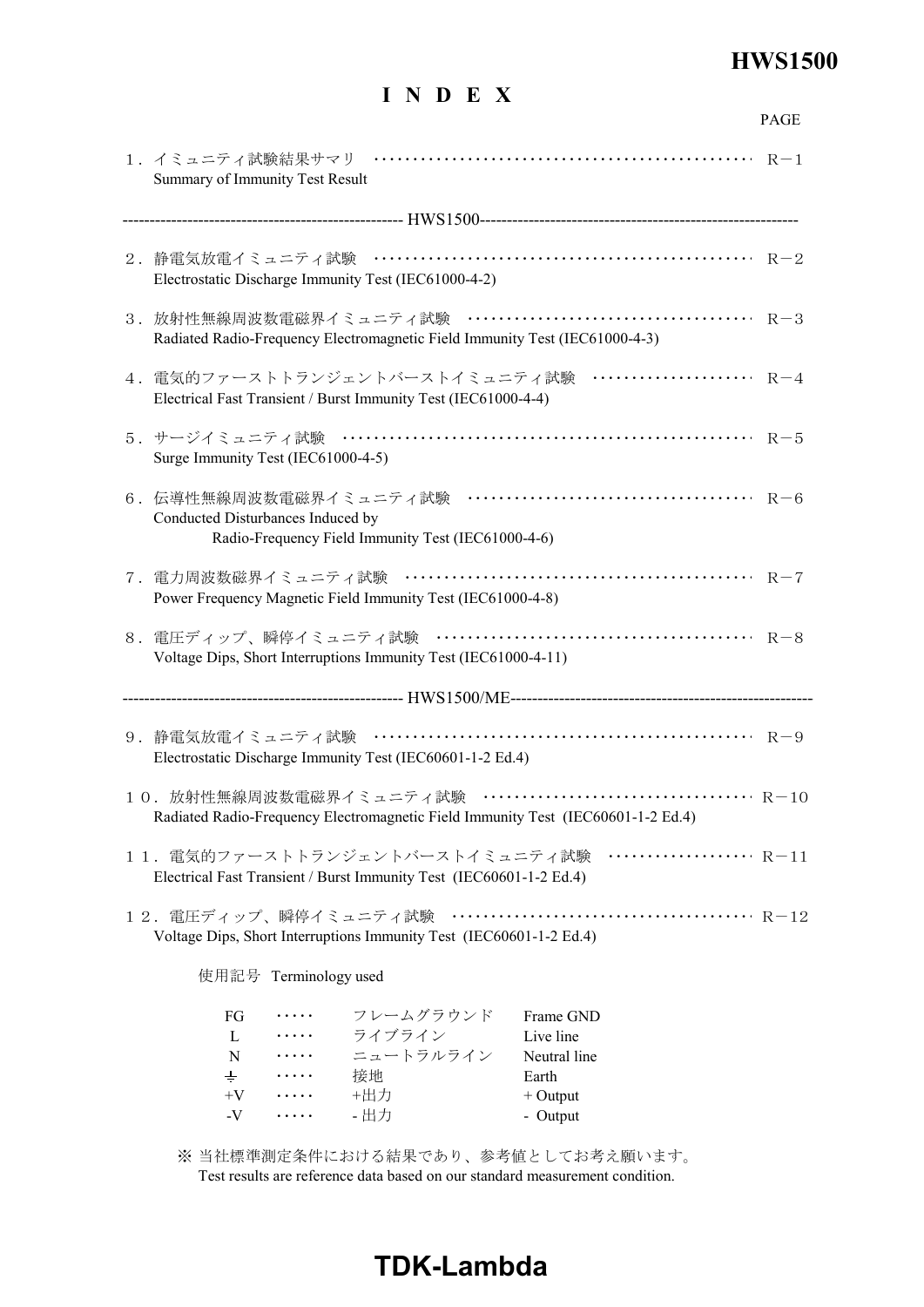# **HWS1500**

# **I N D E X**

|                                                                                                                                                                                  | PAGE |
|----------------------------------------------------------------------------------------------------------------------------------------------------------------------------------|------|
| Summary of Immunity Test Result                                                                                                                                                  |      |
|                                                                                                                                                                                  |      |
| Electrostatic Discharge Immunity Test (IEC61000-4-2)                                                                                                                             |      |
| Radiated Radio-Frequency Electromagnetic Field Immunity Test (IEC61000-4-3)                                                                                                      |      |
| 4. 電気的ファーストトランジェントバーストイミュニティ試験 ······················ R-4<br>Electrical Fast Transient / Burst Immunity Test (IEC61000-4-4)                                                      |      |
| Surge Immunity Test (IEC61000-4-5)                                                                                                                                               |      |
| Conducted Disturbances Induced by<br>Radio-Frequency Field Immunity Test (IEC61000-4-6)                                                                                          |      |
| Power Frequency Magnetic Field Immunity Test (IEC61000-4-8)                                                                                                                      |      |
| Voltage Dips, Short Interruptions Immunity Test (IEC61000-4-11)                                                                                                                  |      |
|                                                                                                                                                                                  |      |
| Electrostatic Discharge Immunity Test (IEC60601-1-2 Ed.4)                                                                                                                        |      |
| Radiated Radio-Frequency Electromagnetic Field Immunity Test (IEC60601-1-2 Ed.4)                                                                                                 |      |
| 11. 電気的ファーストトランジェントバーストイミュニティ試験 ………………… R-11<br>Electrical Fast Transient / Burst Immunity Test (IEC60601-1-2 Ed.4)                                                              |      |
| Voltage Dips, Short Interruptions Immunity Test (IEC60601-1-2 Ed.4)                                                                                                              |      |
| 使用記号 Terminology used                                                                                                                                                            |      |
| フレームグラウンド<br>Frame GND<br>FG<br>.<br>・・・・・ ライブライン<br>Live line<br>L<br>ニュートラルライン<br>Neutral line<br>N<br>$\cdots \cdots$<br>$\pm$<br>接地<br>Earth<br>$\cdots$<br>+出力<br>$+V$<br>. |      |
| $+$ Output<br>- 出力<br>$-V$<br>- Output<br>.                                                                                                                                      |      |

※ 当社標準測定条件における結果であり、参考値としてお考え願います。 Test results are reference data based on our standard measurement condition.

# **TDK-Lambda**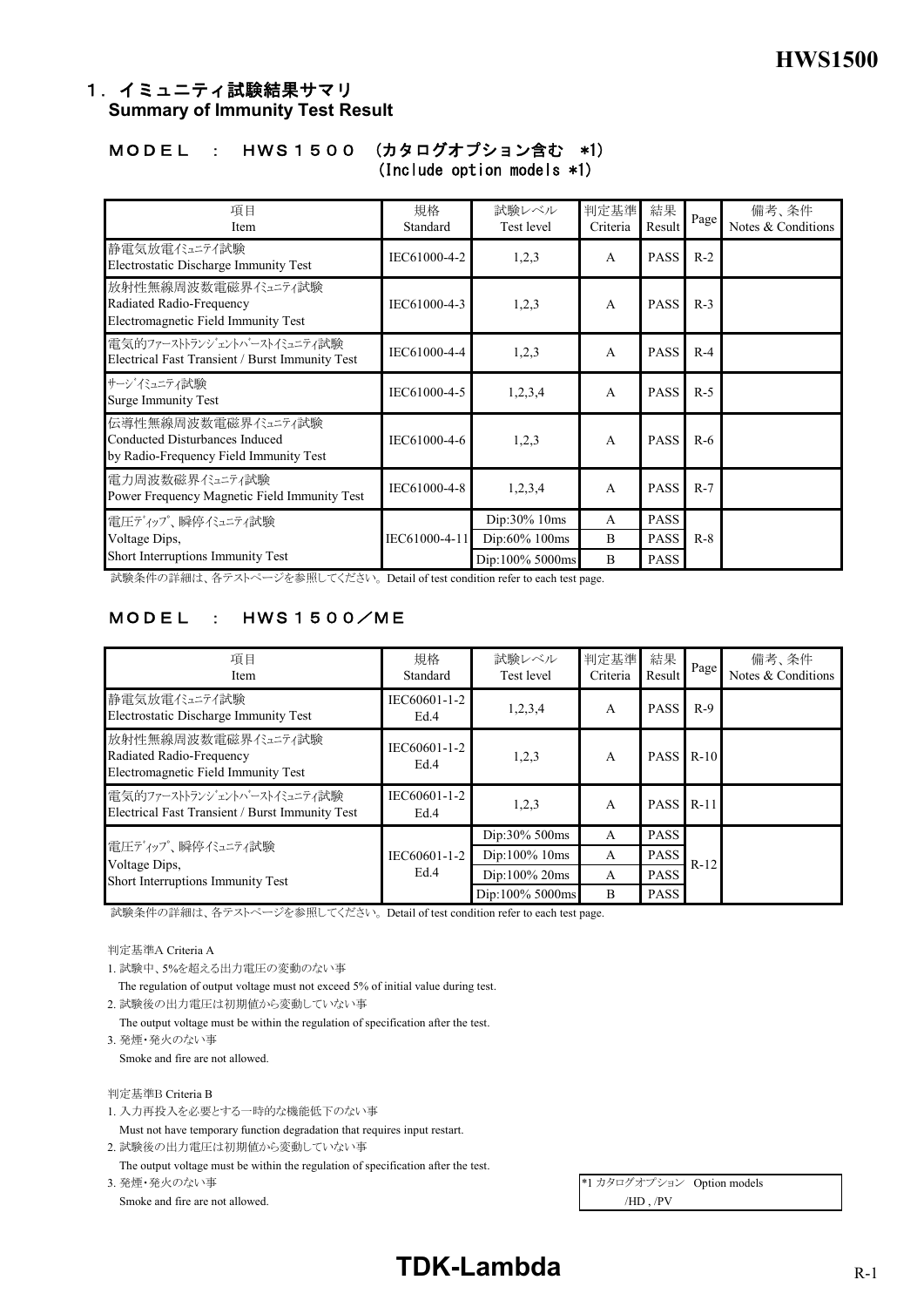# 1. イミュニティ試験結果サマリ **Summary of Immunity Test Result**

#### MODEL : HWS1500 (カタログオプション含む \*1) (Include option models \*1)

| 項目<br>Item                                                                                     | 規格<br>Standard | 試験レベル<br>Test level           | 判定基準<br>Criteria | 結果<br>Result               | Page  | 備考、条件<br>Notes & Conditions |
|------------------------------------------------------------------------------------------------|----------------|-------------------------------|------------------|----------------------------|-------|-----------------------------|
| 静電気放電イミュテイ試験<br>Electrostatic Discharge Immunity Test                                          | IEC61000-4-2   | 1,2,3                         | $\mathsf{A}$     | <b>PASS</b>                | $R-2$ |                             |
| 放射性無線周波数電磁界イミュニティ試験<br>Radiated Radio-Frequency<br>Electromagnetic Field Immunity Test         | IEC61000-4-3   | 1,2,3                         | $\mathsf{A}$     | <b>PASS</b>                | $R-3$ |                             |
| 雷気的ファーストトランジェントハーストイミュニティ試験<br>Electrical Fast Transient / Burst Immunity Test                 | IEC61000-4-4   | 1,2,3                         | $\mathsf{A}$     | <b>PASS</b>                | $R-4$ |                             |
| サージイミュニティ試験<br><b>Surge Immunity Test</b>                                                      | IEC61000-4-5   | 1,2,3,4                       | $\mathsf{A}$     | <b>PASS</b>                | $R-5$ |                             |
| 伝導性無線周波数電磁界イミュティ試験<br>Conducted Disturbances Induced<br>by Radio-Frequency Field Immunity Test | IEC61000-4-6   | 1,2,3                         | $\mathsf{A}$     | <b>PASS</b>                | $R-6$ |                             |
| 電力周波数磁界イミュニティ試験<br>Power Frequency Magnetic Field Immunity Test                                | IEC61000-4-8   | 1,2,3,4                       | $\mathsf{A}$     | <b>PASS</b>                | $R-7$ |                             |
| 電圧ディップ、瞬停ベュニティ試験<br>Voltage Dips,                                                              | IEC61000-4-11  | Dip:30% 10ms<br>Dip:60% 100ms | A<br>B           | <b>PASS</b><br><b>PASS</b> | $R-8$ |                             |
| Short Interruptions Immunity Test                                                              |                | Dip:100% 5000ms               | B                | <b>PASS</b>                |       |                             |

試験条件の詳細は、各テストページを参照してください。 Detail of test condition refer to each test page.

# MODEL : HWS1500/ME

| 項目<br>Item                                                                            | 規格<br>Standard       | 試験レベル<br>Test level | 判定基準<br>Criteria | 結果<br>Result | Page   | 備考、条件<br>Notes & Conditions |
|---------------------------------------------------------------------------------------|----------------------|---------------------|------------------|--------------|--------|-----------------------------|
| 静電気放電イミュニテイ試験<br>Electrostatic Discharge Immunity Test                                | IEC60601-1-2<br>Ed.4 | 1,2,3,4             | $\mathsf{A}$     | <b>PASS</b>  | $R-9$  |                             |
| 放射性無線周波数電磁界イミュティ試験<br>Radiated Radio-Frequency<br>Electromagnetic Field Immunity Test | IEC60601-1-2<br>Ed.4 | 1,2,3               | A                | <b>PASS</b>  | $R-10$ |                             |
| 雷気的ファーストトランジェントハーストイミュニティ試験<br>Electrical Fast Transient / Burst Immunity Test        | IEC60601-1-2<br>Ed.4 | 1,2,3               | $\mathsf{A}$     | <b>PASS</b>  | $R-11$ |                             |
|                                                                                       |                      | Dip:30% 500ms       | $\mathsf{A}$     | <b>PASS</b>  |        |                             |
| 電圧ディップ、瞬停イミュニティ試験<br>Voltage Dips,                                                    | IEC60601-1-2         | $Dip:100\%$ 10ms    | A                | <b>PASS</b>  | $R-12$ |                             |
| Short Interruptions Immunity Test                                                     | Ed.4                 | $Dip:100\%$ 20ms    | $\mathsf{A}$     | <b>PASS</b>  |        |                             |
|                                                                                       |                      | Dip:100% 5000ms     | B                | <b>PASS</b>  |        |                             |

試験条件の詳細は、各テストページを参照してください。 Detail of test condition refer to each test page.

判定基準A Criteria A

1. 試験中、5%を超える出力電圧の変動のない事

The regulation of output voltage must not exceed 5% of initial value during test.

2. 試験後の出力電圧は初期値から変動していない事

The output voltage must be within the regulation of specification after the test.

3. 発煙・発火のない事

Smoke and fire are not allowed.

判定基準B Criteria B

1. 入力再投入を必要とする一時的な機能低下のない事

 Must not have temporary function degradation that requires input restart. 2. 試験後の出力電圧は初期値から変動していない事

The output voltage must be within the regulation of specification after the test.

Smoke and fire are not allowed.  $/HD \rightarrow PV$ 

3. 発煙・発火のない事 <br>
\*1 カタログオプション Option models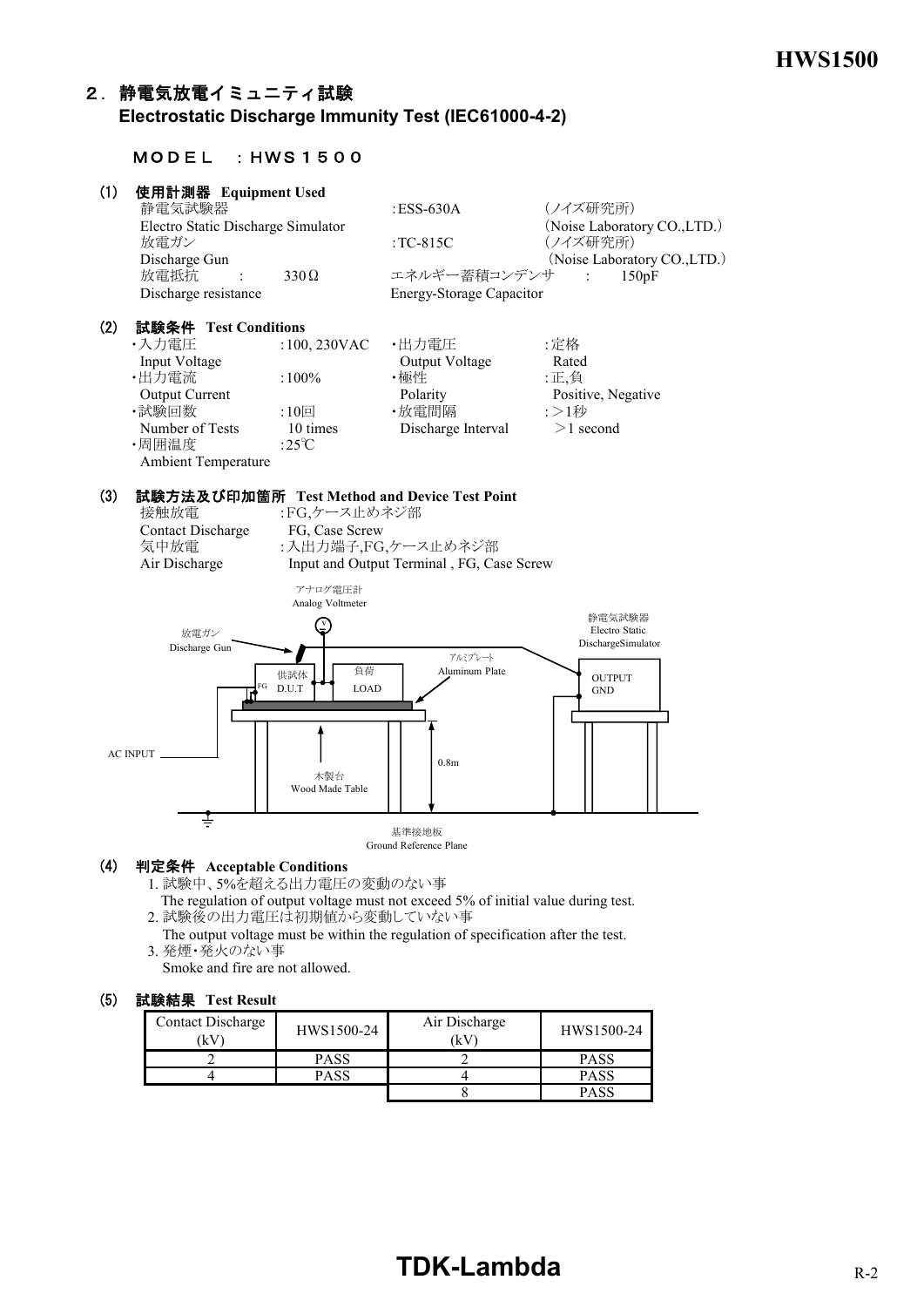# 2.静電気放電イミュニティ試験  **Electrostatic Discharge Immunity Test (IEC61000-4-2)**

### MODEL :HWS1500

| (1) | 使用計測器 Equipment Used               |                |                                 |                              |
|-----|------------------------------------|----------------|---------------------------------|------------------------------|
|     | 静電気試験器                             |                | $ESS-630A$                      | (ノイズ研究所)                     |
|     | Electro Static Discharge Simulator |                |                                 | (Noise Laboratory CO., LTD.) |
|     | 放電ガン                               |                | : $TC-815C$                     | (ノイズ研究所)                     |
|     | Discharge Gun                      |                |                                 | (Noise Laboratory CO., LTD.) |
|     | 放電抵抗                               | $330\Omega$    | エネルギー蓄積コンデンサ :                  | 150pF                        |
|     | Discharge resistance               |                | <b>Energy-Storage Capacitor</b> |                              |
| (2) | 試験条件 Test Conditions               |                |                                 |                              |
|     | ・入力雷圧                              | $:100,230$ VAC | ・出力電圧                           | :定格                          |
|     | Input Voltage                      |                | Output Voltage                  | Rated                        |
|     | ・出力電流                              | $:100\%$       | ・極性                             | :正.負                         |
|     | <b>Output Current</b>              |                | Polarity                        | Positive, Negative           |
|     | ・試験回数                              | :10 $\boxdot$  | ・放電間隔                           | :>1秒                         |

•試験回数 :10回 •放電間隔 :>1秒<br>Number of Tests to 10 times bischarge Interval >1 second ・周囲温度 :25℃ Ambient Temperature

#### (3) 試験方法及び印加箇所 **Test Method and Device Test Point** :FG,ケース止めネジ部

| 接触放電             |
|------------------|
| Contact Discharg |
| 気中放電             |
| Air Discharge    |

ge FG, Case Screw :入出力端子,FG,ケース止めネジ部 Input and Output Terminal, FG, Case Screw

Discharge Interval



Ground Reference Plane

#### (4) 判定条件 **Acceptable Conditions**

1. 試験中、5%を超える出力電圧の変動のない事

 The regulation of output voltage must not exceed 5% of initial value during test. 2. 試験後の出力電圧は初期値から変動していない事

 The output voltage must be within the regulation of specification after the test. 3. 発煙・発火のない事

Smoke and fire are not allowed.

#### (5) 試験結果 **Test Result**

| Contact Discharge<br>(kV | HWS1500-24 | Air Discharge<br>λV | HWS1500-24  |
|--------------------------|------------|---------------------|-------------|
|                          | PASS       |                     | <b>PASS</b> |
|                          | DACC       |                     | PASS        |
|                          |            |                     | PASS        |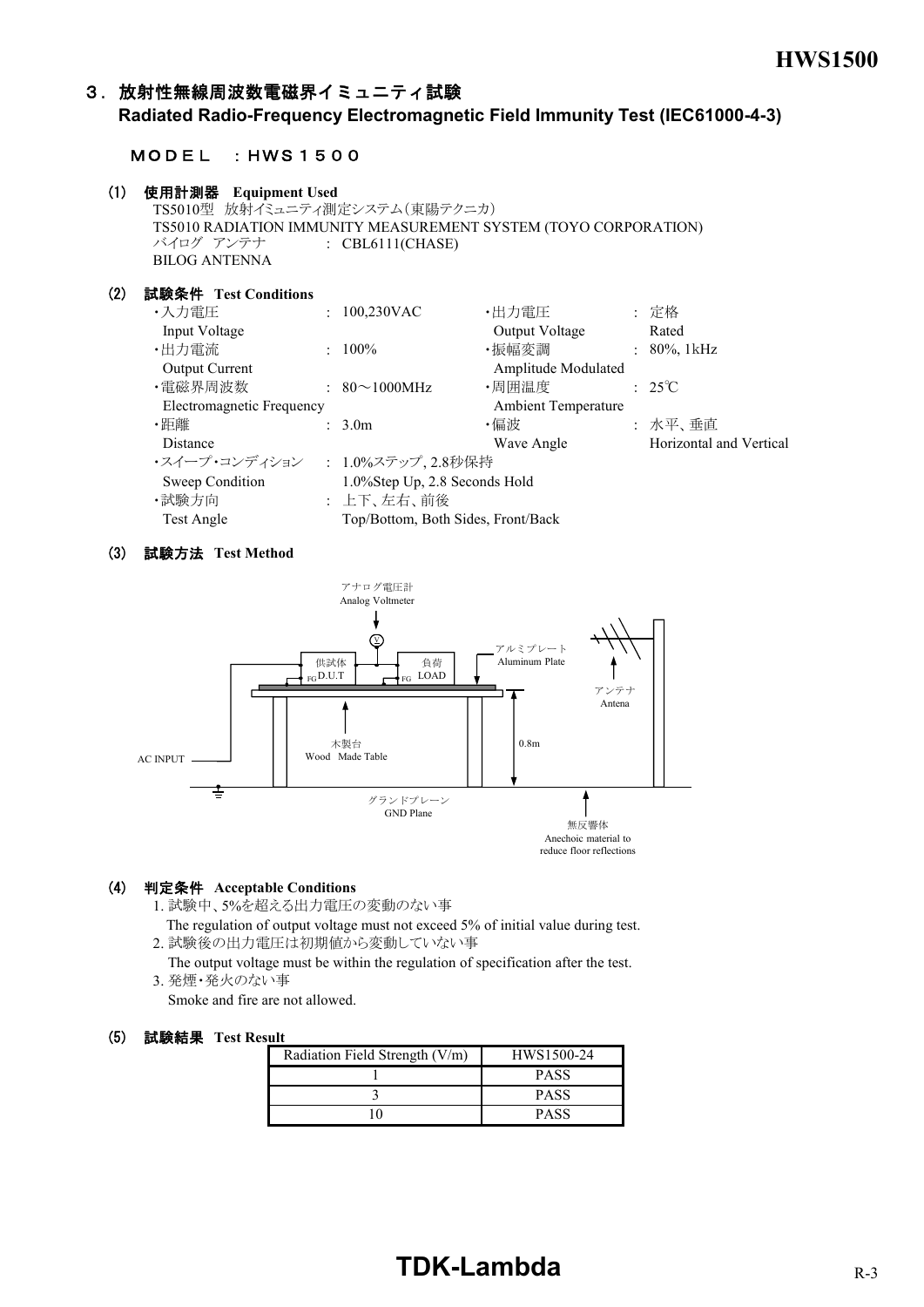## 3.放射性無線周波数電磁界イミュニティ試験

**Radiated Radio-Frequency Electromagnetic Field Immunity Test (IEC61000-4-3)**

#### MODEL :HWS1500

#### (1) 使用計測器  **Equipment Used**

```
TS5010型 放射イミュニティ測定システム(東陽テクニカ)
TS5010 RADIATION IMMUNITY MEASUREMENT SYSTEM (TOYO CORPORATION)
バイログ アンテナ : CBL6111(CHASE)
BILOG ANTENNA
```
#### (2) 試験条件 **Test Conditions**

| ・入力電圧                     | $: 100,230$ VAC                    | ・出力電圧               | : 定格                    |
|---------------------------|------------------------------------|---------------------|-------------------------|
| Input Voltage             |                                    | Output Voltage      | Rated                   |
| ・出力電流                     | $: 100\%$                          | ・振幅変調               | : $80\%$ , 1kHz         |
| <b>Output Current</b>     |                                    | Amplitude Modulated |                         |
| ・電磁界周波数                   | $: 80 \sim 1000 MHz$               | ・周囲温度               | $: 25^{\circ}\text{C}$  |
| Electromagnetic Frequency |                                    | Ambient Temperature |                         |
| ・距離                       | $\therefore$ 3.0m                  | ・偏波                 | : 水平、垂直                 |
| Distance                  |                                    | Wave Angle          | Horizontal and Vertical |
| ・スイープ・コンディション             | : 1.0%ステップ, 2.8秒保持                 |                     |                         |
| Sweep Condition           | 1.0%Step Up, 2.8 Seconds Hold      |                     |                         |
| ・試験方向                     | : 上下、左右、前後                         |                     |                         |
| Test Angle                | Top/Bottom, Both Sides, Front/Back |                     |                         |

#### (3) 試験方法 **Test Method**



#### (4) 判定条件 **Acceptable Conditions**

1. 試験中、5%を超える出力電圧の変動のない事

- The regulation of output voltage must not exceed 5% of initial value during test. 2. 試験後の出力電圧は初期値から変動していない事
- The output voltage must be within the regulation of specification after the test. 3. 発煙・発火のない事

Smoke and fire are not allowed.

#### (5) 試験結果 **Test Result**

| Radiation Field Strength (V/m) | HWS1500-24  |
|--------------------------------|-------------|
|                                | <b>PASS</b> |
|                                | <b>PASS</b> |
|                                | PASS        |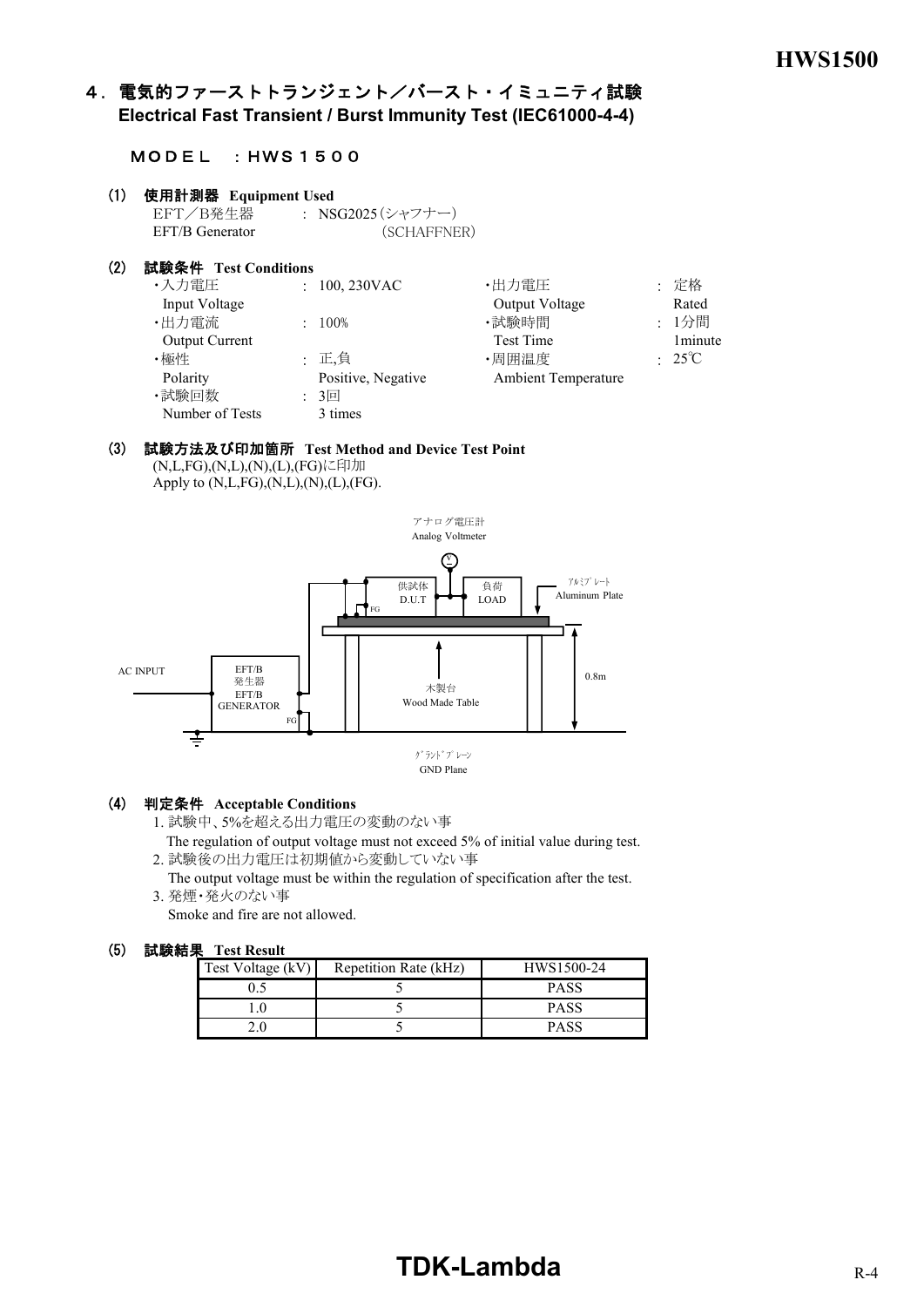# 4. 電気的ファーストトランジェント/バースト・イミュニティ試験 **Electrical Fast Transient / Burst Immunity Test (IEC61000-4-4)**

#### MODEL :HWS1500

| (1) | 使用計測器 Equipment Used<br>EFT/B発生器: NSG2025(シャフナー) |                         |                            |                          |
|-----|--------------------------------------------------|-------------------------|----------------------------|--------------------------|
|     | EFT/B Generator                                  | (SCHAFFNER)             |                            |                          |
| (2) | 試験条件 Test Conditions                             |                         |                            |                          |
|     | ・入力電圧                                            | $: 100, 230 \text{VAC}$ | ・出力電圧                      | : 定格                     |
|     | Input Voltage                                    |                         | Output Voltage             | Rated                    |
|     | ・出力電流                                            | $: 100\%$               | ・試験時間                      | : 1分間                    |
|     | <b>Output Current</b>                            |                         | <b>Test Time</b>           | 1 <sub>minute</sub>      |
|     | ・極性                                              | : 正,負                   | ・周囲温度                      | $\div$ 25 <sup>°</sup> C |
|     | Polarity                                         | Positive, Negative      | <b>Ambient Temperature</b> |                          |
|     | ・試験回数                                            | $: 3 \square$           |                            |                          |
|     | Number of Tests                                  | 3 times                 |                            |                          |

#### (3) 試験方法及び印加箇所 **Test Method and Device Test Point** (N,L,FG),(N,L),(N),(L),(FG)に印加

Apply to  $(N, L, FG), (N, L), (N), (L), (FG)$ .



#### (4) 判定条件 **Acceptable Conditions**

1. 試験中、5%を超える出力電圧の変動のない事

 The regulation of output voltage must not exceed 5% of initial value during test. 2. 試験後の出力電圧は初期値から変動していない事

 The output voltage must be within the regulation of specification after the test. 3. 発煙・発火のない事

Smoke and fire are not allowed.

| Test Voltage (kV) | Repetition Rate (kHz) | HWS1500-24  |
|-------------------|-----------------------|-------------|
|                   |                       | <b>PASS</b> |
|                   |                       | <b>PASS</b> |
|                   |                       | <b>PASS</b> |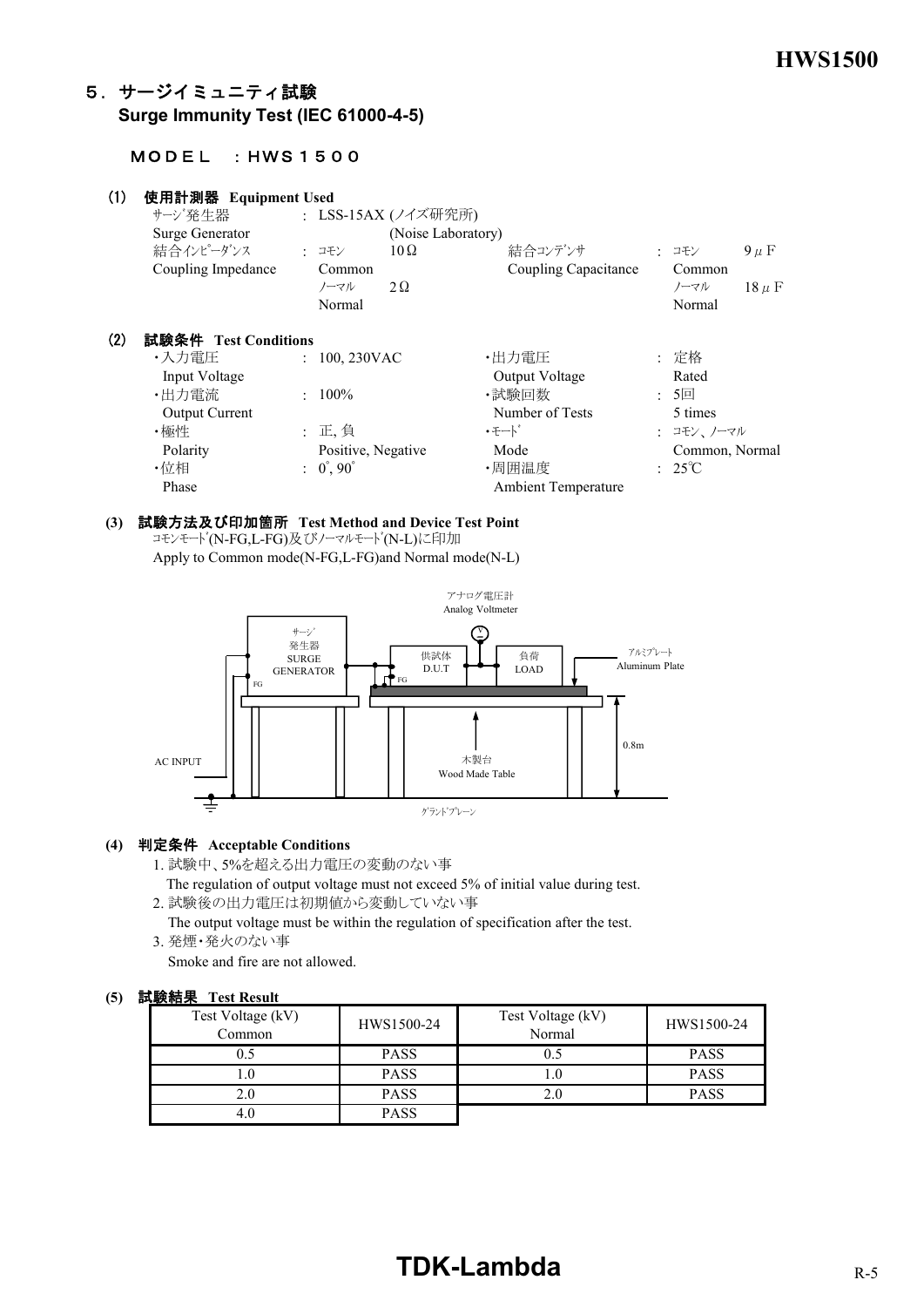# 5.サージイミュニティ試験 **Surge Immunity Test (IEC 61000-4-5)**

### MODEL :HWS1500

| (1) | 使用計測器 Equipment Used<br>サージ発生器<br>Surge Generator<br>結合インピーダンス<br>Coupling Impedance | : コモン<br>Common<br>ノーマル   | : LSS-15AX (ノイズ研究所)<br>(Noise Laboratory)<br>$10\Omega$<br>$2\Omega$ | 結合コンデンサ<br>Coupling Capacitance | : コモン<br>Common<br>ノーマル  | $9 \mu F$<br>$18 \mu F$ |
|-----|--------------------------------------------------------------------------------------|---------------------------|----------------------------------------------------------------------|---------------------------------|--------------------------|-------------------------|
|     |                                                                                      | Normal                    |                                                                      |                                 | Normal                   |                         |
| (2) | 試験条件 Test Conditions                                                                 |                           |                                                                      |                                 |                          |                         |
|     | ・入力電圧                                                                                | $: 100, 230$ VAC          |                                                                      | ・出力電圧                           | : 定格                     |                         |
|     | Input Voltage                                                                        |                           |                                                                      | Output Voltage                  | Rated                    |                         |
|     | ·出力電流                                                                                | $: 100\%$                 |                                                                      | ・試験回数                           | $: 5 \square$            |                         |
|     | <b>Output Current</b>                                                                |                           |                                                                      | Number of Tests                 | 5 times                  |                         |
|     | ・極性                                                                                  | : 正, 負                    |                                                                      | ・モート゛                           | : コモン、ノーマル               |                         |
|     | Polarity                                                                             | Positive, Negative        |                                                                      | Mode                            | Common, Normal           |                         |
|     | ・位相                                                                                  | $: 0^{\circ}, 90^{\circ}$ |                                                                      | ・周囲温度                           | $\div$ 25 <sup>°</sup> C |                         |
|     | Phase                                                                                |                           |                                                                      | <b>Ambient Temperature</b>      |                          |                         |

# **(3)** 試験方法及び印加箇所 **Test Method and Device Test Point**

コモンモード(N-FG,L-FG)及びノーマルモード(N-L)に印加 Apply to Common mode(N-FG,L-FG)and Normal mode(N-L)



#### **(4)** 判定条件 **Acceptable Conditions**

1. 試験中、5%を超える出力電圧の変動のない事

 The regulation of output voltage must not exceed 5% of initial value during test. 2. 試験後の出力電圧は初期値から変動していない事

 The output voltage must be within the regulation of specification after the test. 3. 発煙・発火のない事

Smoke and fire are not allowed.

### **(5)** 試験結果 **Test Result**

| Test Voltage (kV)<br>Common | HWS1500-24  | Test Voltage (kV)<br>Normal | HWS1500-24  |
|-----------------------------|-------------|-----------------------------|-------------|
| 0.5                         | <b>PASS</b> |                             | <b>PASS</b> |
| $\cdot$                     | <b>PASS</b> |                             | <b>PASS</b> |
| 2.0                         | <b>PASS</b> |                             | <b>PASS</b> |
| 4.0                         | <b>PASS</b> |                             |             |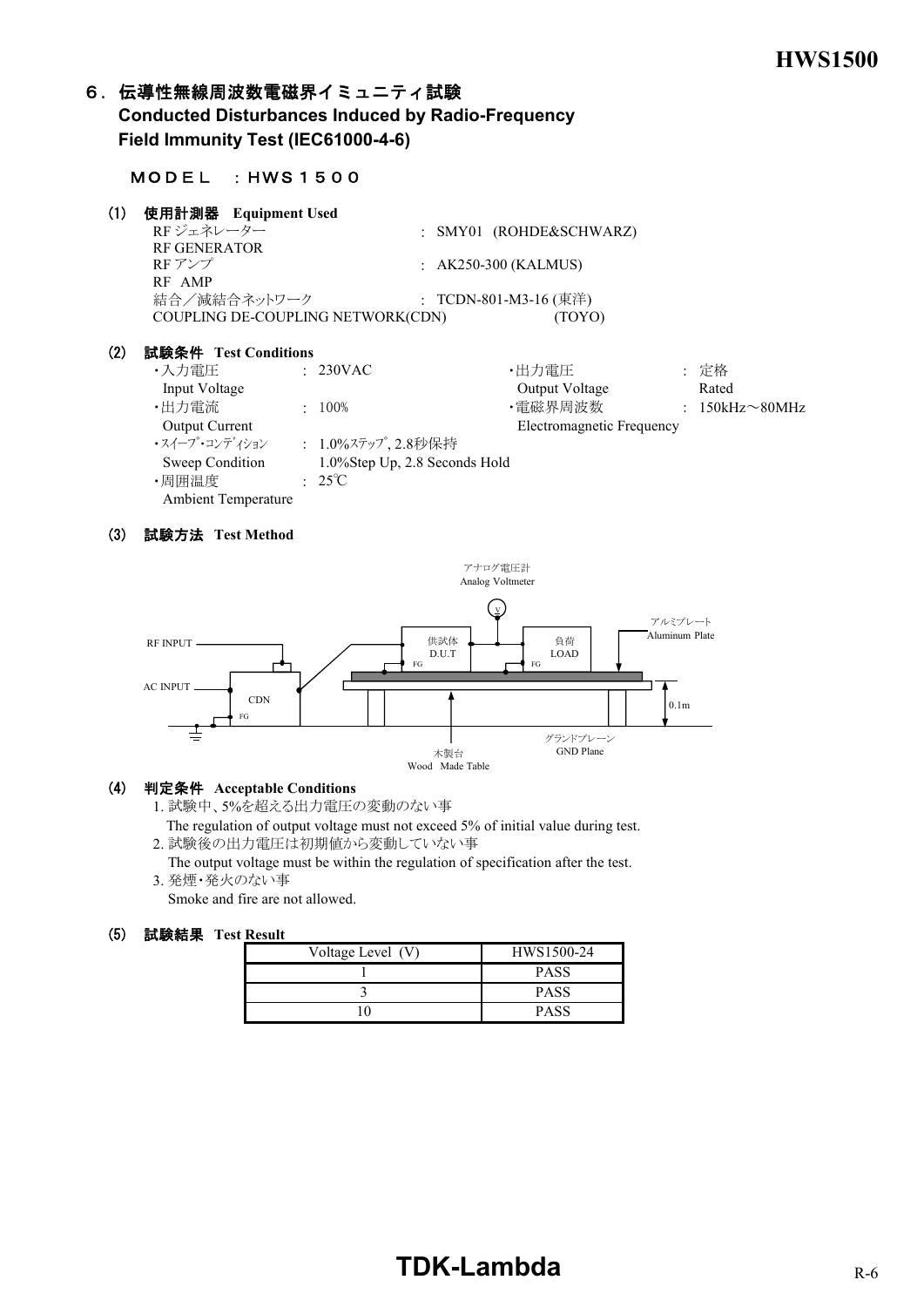# 6. 伝導性無線周波数電磁界イミュニティ試験

 **Conducted Disturbances Induced by Radio-Frequency Field Immunity Test (IEC61000-4-6)**

#### MODEL :HWS1500

## (1) 使用計測器  **Equipment Used**

| RFジェネレーター                         | : SMY01 (ROHDE&SCHWARZ)         |  |
|-----------------------------------|---------------------------------|--|
| <b>RF GENERATOR</b>               |                                 |  |
| RF アンプ<br>RF AMP                  | $\therefore$ AK250-300 (KALMUS) |  |
| 結合/減結合ネットワーク                      | : TCDN-801-M3-16 (東洋)           |  |
| COUPLING DE-COUPLING NETWORK(CDN) | (TOYO)                          |  |

#### (2) 試験条件 **Test Conditions**

| ・入力雷圧                      | $\div$ 230VAC                 | ・出力電圧                     | : 定格                  |
|----------------------------|-------------------------------|---------------------------|-----------------------|
| Input Voltage              |                               | Output Voltage            | Rated                 |
| ・出力電流                      | $100\%$                       | ・電磁界周波数                   | $: 150kHz \sim 80MHz$ |
| <b>Output Current</b>      |                               | Electromagnetic Frequency |                       |
| ・スイープ・コンディション              | : 1.0%ステップ、2.8秒保持             |                           |                       |
| Sweep Condition            | 1.0%Step Up, 2.8 Seconds Hold |                           |                       |
| ・周囲温度                      | $: 25^{\circ}C$               |                           |                       |
| <b>Ambient Temperature</b> |                               |                           |                       |

#### (3) 試験方法 **Test Method**



#### (4) 判定条件 **Acceptable Conditions**

1. 試験中、5%を超える出力電圧の変動のない事

 The regulation of output voltage must not exceed 5% of initial value during test. 2. 試験後の出力電圧は初期値から変動していない事

 The output voltage must be within the regulation of specification after the test. 3. 発煙・発火のない事

Smoke and fire are not allowed.

| --------          |             |
|-------------------|-------------|
| Voltage Level (V) | HWS1500-24  |
|                   | <b>PASS</b> |
|                   | <b>PASS</b> |
|                   | <b>PASS</b> |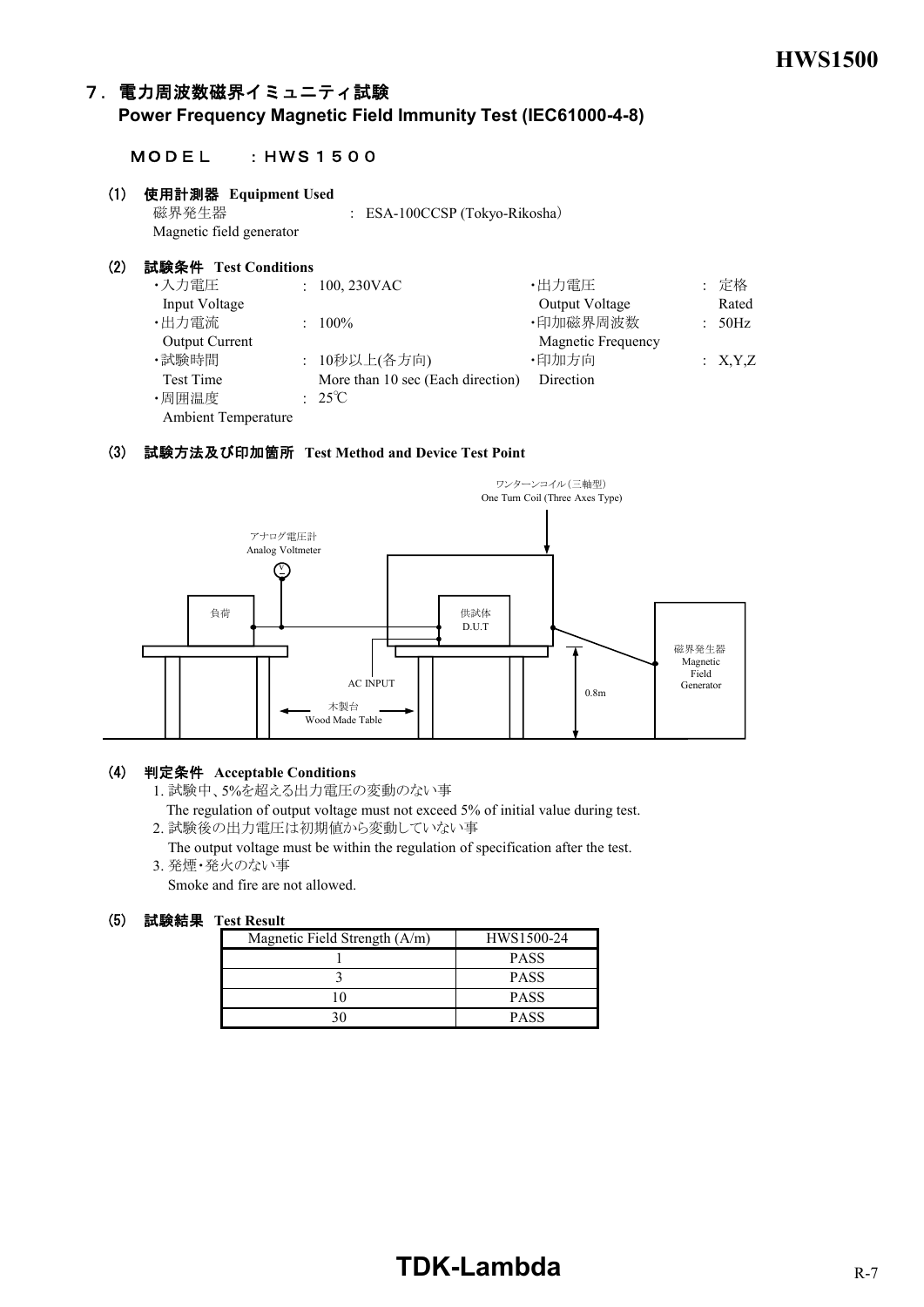# 7.電力周波数磁界イミュニティ試験

**Power Frequency Magnetic Field Immunity Test (IEC61000-4-8)**

#### MODEL :HWS1500

#### (1) 使用計測器 **Equipment Used**

磁界発生器 : ESA-100CCSP (Tokyo-Rikosha) Magnetic field generator

| (2) | 試験条件 Test Conditions       |                                   |                       |         |
|-----|----------------------------|-----------------------------------|-----------------------|---------|
|     | ・入力電圧                      | $: 100, 230$ VAC                  | ・出力電圧                 | : 定格    |
|     | Input Voltage              |                                   | <b>Output Voltage</b> | Rated   |
|     | ・出力電流                      | $: 100\%$                         | ·印加磁界周波数              | : 50Hz  |
|     | <b>Output Current</b>      |                                   | Magnetic Frequency    |         |
|     | ・試験時間                      | : 10秒以上(各方向)                      | ·印加方向                 | : X,Y,Z |
|     | <b>Test Time</b>           | More than 10 sec (Each direction) | Direction             |         |
|     | ・周囲温度                      | $: 25^{\circ}C$                   |                       |         |
|     | <b>Ambient Temperature</b> |                                   |                       |         |

#### (3) 試験方法及び印加箇所 **Test Method and Device Test Point**



#### (4) 判定条件 **Acceptable Conditions**

1. 試験中、5%を超える出力電圧の変動のない事

- The regulation of output voltage must not exceed 5% of initial value during test.
- 2. 試験後の出力電圧は初期値から変動していない事
- The output voltage must be within the regulation of specification after the test. 3. 発煙・発火のない事

Smoke and fire are not allowed.

| Magnetic Field Strength (A/m) | HWS1500-24  |
|-------------------------------|-------------|
|                               | <b>PASS</b> |
|                               | <b>PASS</b> |
|                               | <b>PASS</b> |
|                               | <b>PASS</b> |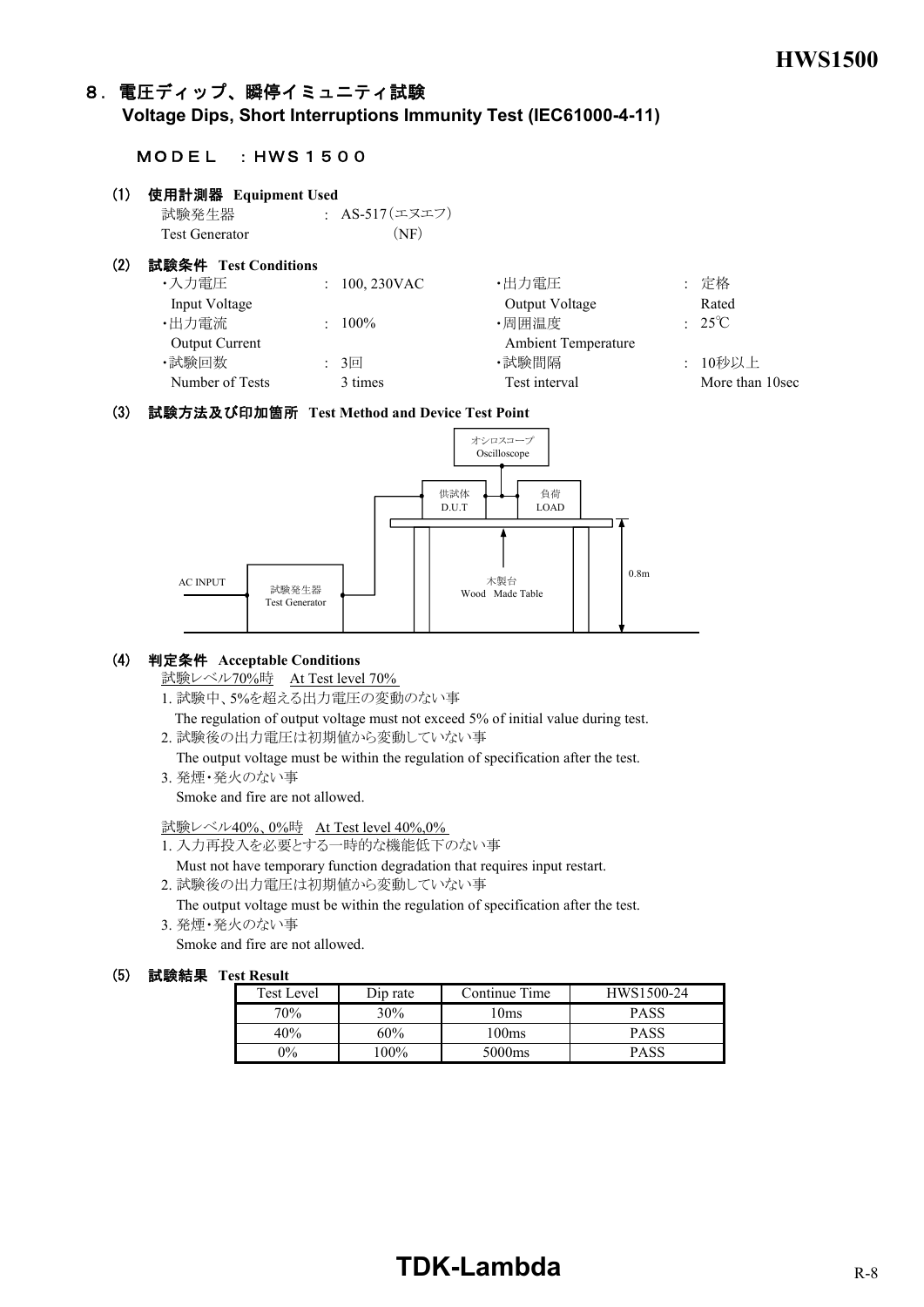# 8.電圧ディップ、瞬停イミュニティ試験

**Voltage Dips, Short Interruptions Immunity Test (IEC61000-4-11)**

#### MODEL :HWS1500

# (1) 使用計測器 **Equipment Used** 試験発生器 : AS-517(エヌエフ) Test Generator (NF) (2) 試験条件 **Test Conditions** ・入力電圧 : 100, 230VAC ・出力電圧 : 定格 Input Voltage Output Voltage Rated

| $m_{\nu}u_{\nu}$ vulles |               | Output voltuge             | nawa            |
|-------------------------|---------------|----------------------------|-----------------|
| ・出力電流                   | $100\%$       | ・周囲温度                      | $: 25^{\circ}C$ |
| <b>Output Current</b>   |               | <b>Ambient Temperature</b> |                 |
| ・試験回数                   | $: 3 \square$ | ・試験間隔                      | : 10秒以上         |
| Number of Tests         | 3 times       | Test interval              | More than 10sec |
|                         |               |                            |                 |

#### (3) 試験方法及び印加箇所 **Test Method and Device Test Point**



#### (4) 判定条件 **Acceptable Conditions**

試験レベル70%時 At Test level 70%

1. 試験中、5%を超える出力電圧の変動のない事

 The regulation of output voltage must not exceed 5% of initial value during test. 2. 試験後の出力電圧は初期値から変動していない事

The output voltage must be within the regulation of specification after the test.

3. 発煙・発火のない事

Smoke and fire are not allowed.

試験レベル40%、0%時 At Test level 40%,0%

- 1. 入力再投入を必要とする一時的な機能低下のない事
	- Must not have temporary function degradation that requires input restart.
- 2. 試験後の出力電圧は初期値から変動していない事

 The output voltage must be within the regulation of specification after the test. 3. 発煙・発火のない事

Smoke and fire are not allowed.

#### (5) 試験結果 **Test Result**

| <b>Test Level</b> | Dip rate | Continue Time      | HWS1500-24  |
|-------------------|----------|--------------------|-------------|
| 70%               | $30\%$   | 10ms               | PASS        |
| 40%               | 60%      | 100ms              | <b>PASS</b> |
| $9\%$             | $100\%$  | 5000 <sub>ms</sub> | PASS        |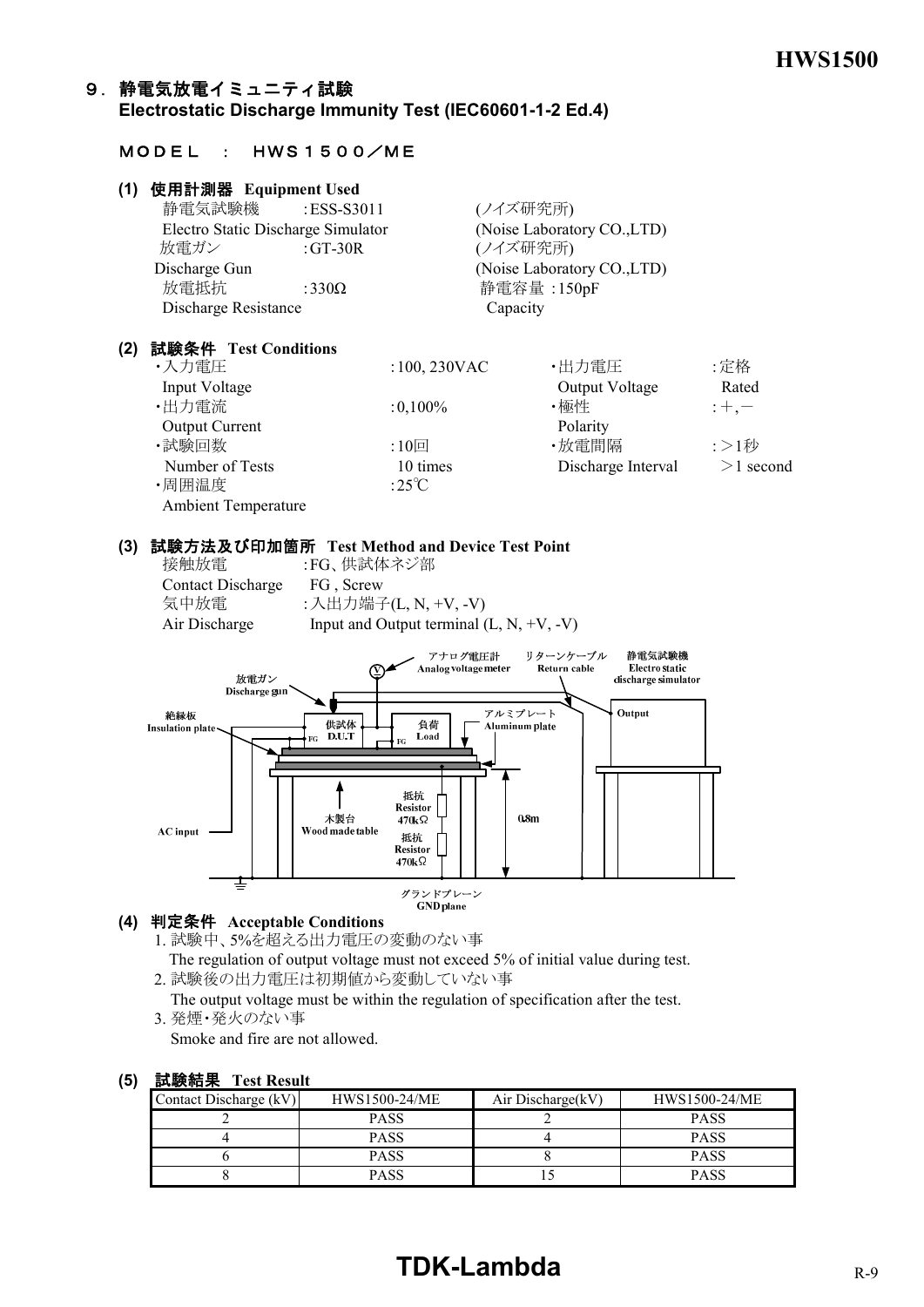# 9.静電気放電イミュニティ試験 **Electrostatic Discharge Immunity Test (IEC60601-1-2 Ed.4)**

# MODEL : HWS1500/ME

| (1) | 使用計測器 Equipment Used               |               |                             |
|-----|------------------------------------|---------------|-----------------------------|
|     | 静電気試験機                             | :ESS-S3011    | (ノイズ研究所)                    |
|     | Electro Static Discharge Simulator |               | (Noise Laboratory CO., LTD) |
|     | 放電ガン                               | : GT-30R      | (ノイズ研究所)                    |
|     | Discharge Gun                      |               | (Noise Laboratory CO., LTD) |
|     | 放電抵抗                               | :330 $\Omega$ | 静電容量: 150pF                 |
|     | Discharge Resistance               |               | Capacity                    |
|     |                                    |               |                             |

## **(2)** 試験条件 **Test Conditions**

| ・入力電圧                      | $:100, 230$ VAC | ・出力電圧              | :定格         |
|----------------------------|-----------------|--------------------|-------------|
| Input Voltage              |                 | Output Voltage     | Rated       |
| ・出力電流                      | $:0,100\%$      | ・極性                | $;+,--$     |
| <b>Output Current</b>      |                 | Polarity           |             |
| ・試験回数                      | $:10$ 回         | ・放電間隔              | :>1秒        |
| Number of Tests            | 10 times        | Discharge Interval | $>1$ second |
| ・周囲温度                      | :25 $\degree$ C |                    |             |
| <b>Ambient Temperature</b> |                 |                    |             |

#### **(3)** 試験方法及び印加箇所 **Test Method and Device Test Point**

| 接触放電                     | :FG、供試体ネジ部                                 |
|--------------------------|--------------------------------------------|
| <b>Contact Discharge</b> | FG, Screw                                  |
| 気中放電                     | : 入出力端子(L, N, +V, -V)                      |
| Air Discharge            | Input and Output terminal $(L, N, +V, -V)$ |
|                          |                                            |



#### **(4)** 判定条件 **Acceptable Conditions**

- 1. 試験中、5%を超える出力電圧の変動のない事 The regulation of output voltage must not exceed 5% of initial value during test. 2. 試験後の出力電圧は初期値から変動していない事
- The output voltage must be within the regulation of specification after the test.
- 3. 発煙・発火のない事

Smoke and fire are not allowed.

#### **(5)** 試験結果 **Test Result**

| Contact Discharge (kV) | HWS1500-24/ME | Air Discharge(kV) | HWS1500-24/ME |
|------------------------|---------------|-------------------|---------------|
|                        | <b>PASS</b>   |                   | <b>PASS</b>   |
|                        | <b>PASS</b>   |                   | <b>PASS</b>   |
|                        | <b>PASS</b>   |                   | <b>PASS</b>   |
|                        | <b>PASS</b>   |                   | <b>PASS</b>   |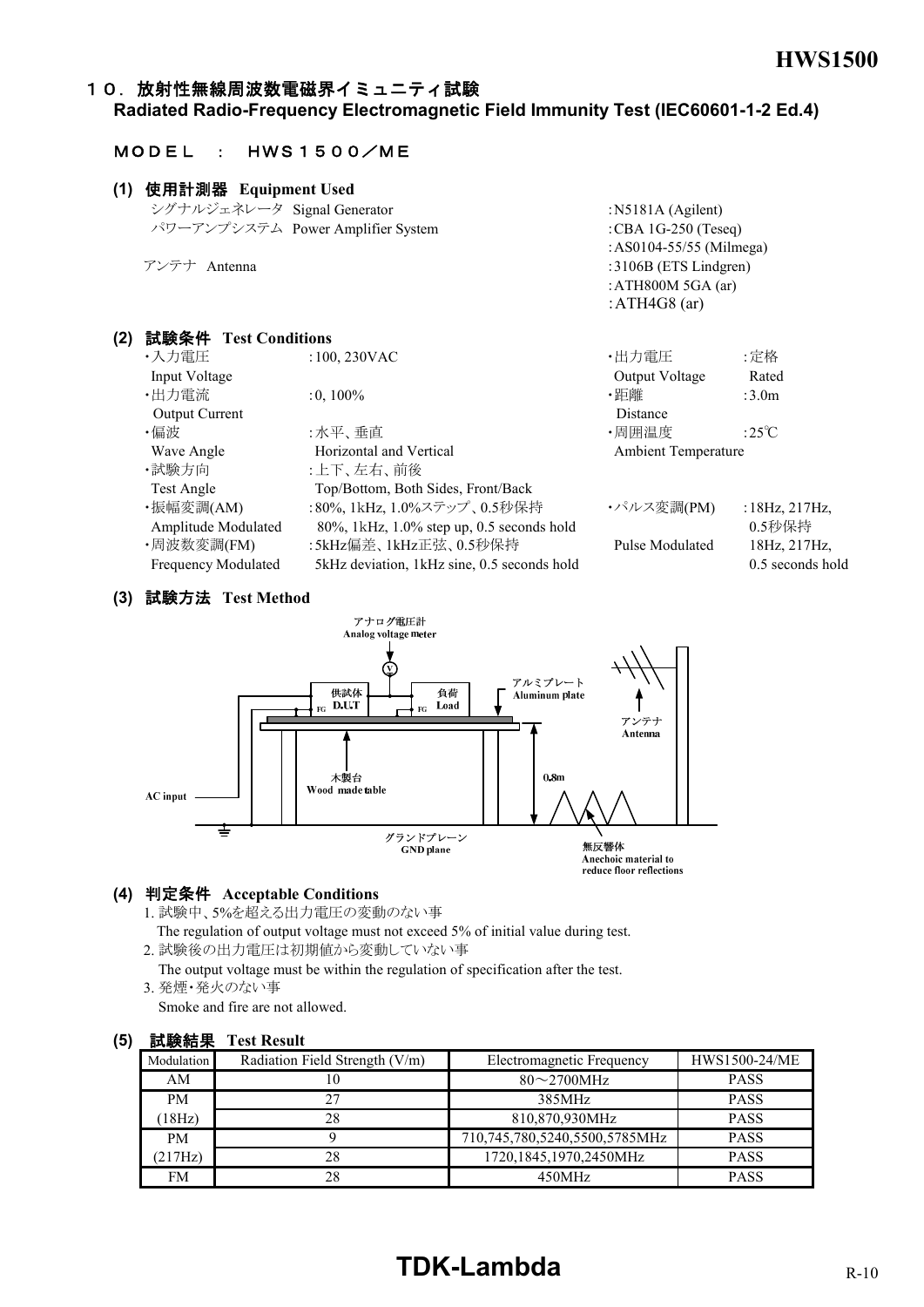#### 10. 放射性無線周波数電磁界イミュニティ試験

**Radiated Radio-Frequency Electromagnetic Field Immunity Test (IEC60601-1-2 Ed.4)**

#### MODEL : HWS1500/ME

## **(1)** 使用計測器 **Equipment Used** シグナルジェネレータ Signal Generator :N5181A (Agilent) パワーアンプシステム Power Amplifier System :CBA 1G-250 (Teseq) :AS0104-55/55 (Milmega) アンテナ Antenna :3106B (ETS Lindgren) :ATH800M 5GA (ar) :ATH4G8 (ar) **(2)** 試験条件 **Test Conditions** ・入力電圧 :100, 230VAC ・出力電圧 : 定格

| ノヘノノ 円山上                   | $100, 200$ M $\sim$                           | 山ノノ 电/工                    | . AL TE              |
|----------------------------|-----------------------------------------------|----------------------------|----------------------|
| Input Voltage              |                                               | Output Voltage             | Rated                |
| ・出力電流                      | $:0,100\%$                                    | ・距離                        | :3.0 <sub>m</sub>    |
| Output Current             |                                               | Distance                   |                      |
| ・偏波                        | :水平、垂直                                        | ・周囲温度                      | :25°C                |
| Wave Angle                 | Horizontal and Vertical                       | <b>Ambient Temperature</b> |                      |
| ・試験方向                      | :上下、左右、前後                                     |                            |                      |
| Test Angle                 | Top/Bottom, Both Sides, Front/Back            |                            |                      |
| ・振幅変調(AM)                  | :80%, 1kHz, 1.0%ステップ、0.5秒保持                   | ・パルス変調(PM)                 | : $18Hz$ , $217Hz$ , |
| Amplitude Modulated        | 80%, 1kHz, 1.0% step up, 0.5 seconds hold     |                            | 0.5秒保持               |
| ・周波数変調(FM)                 | :5kHz偏差、1kHz正弦、0.5秒保持                         | Pulse Modulated            | 18Hz, 217Hz,         |
| <b>Frequency Modulated</b> | 5 kHz deviation, 1 kHz sine, 0.5 seconds hold |                            | 0.5 seconds hold     |
|                            |                                               |                            |                      |

## **(3)** 試験方法 **Test Method**



#### **(4)** 判定条件 **Acceptable Conditions**

1. 試験中、5%を超える出力電圧の変動のない事

 The regulation of output voltage must not exceed 5% of initial value during test. 2. 試験後の出力電圧は初期値から変動していない事

 The output voltage must be within the regulation of specification after the test. 3. 発煙・発火のない事

Smoke and fire are not allowed.

| 叫喊的人       | 1 USU IXUSUIU                  |                               |               |
|------------|--------------------------------|-------------------------------|---------------|
| Modulation | Radiation Field Strength (V/m) | Electromagnetic Frequency     | HWS1500-24/ME |
| AM         | 10                             | $80\sim$ 2700MHz              | <b>PASS</b>   |
| PM.        | 27                             | 385MHz                        | <b>PASS</b>   |
| 18Hz       | 28                             | 810,870,930MHz                | <b>PASS</b>   |
| PM.        |                                | 710,745,780,5240,5500,5785MHz | <b>PASS</b>   |
| (217Hz)    | 28                             | 1720,1845,1970,2450MHz        | <b>PASS</b>   |
| <b>FM</b>  | 28                             | 450MHz                        | <b>PASS</b>   |

# **(5)** 試験結果 **Test Result**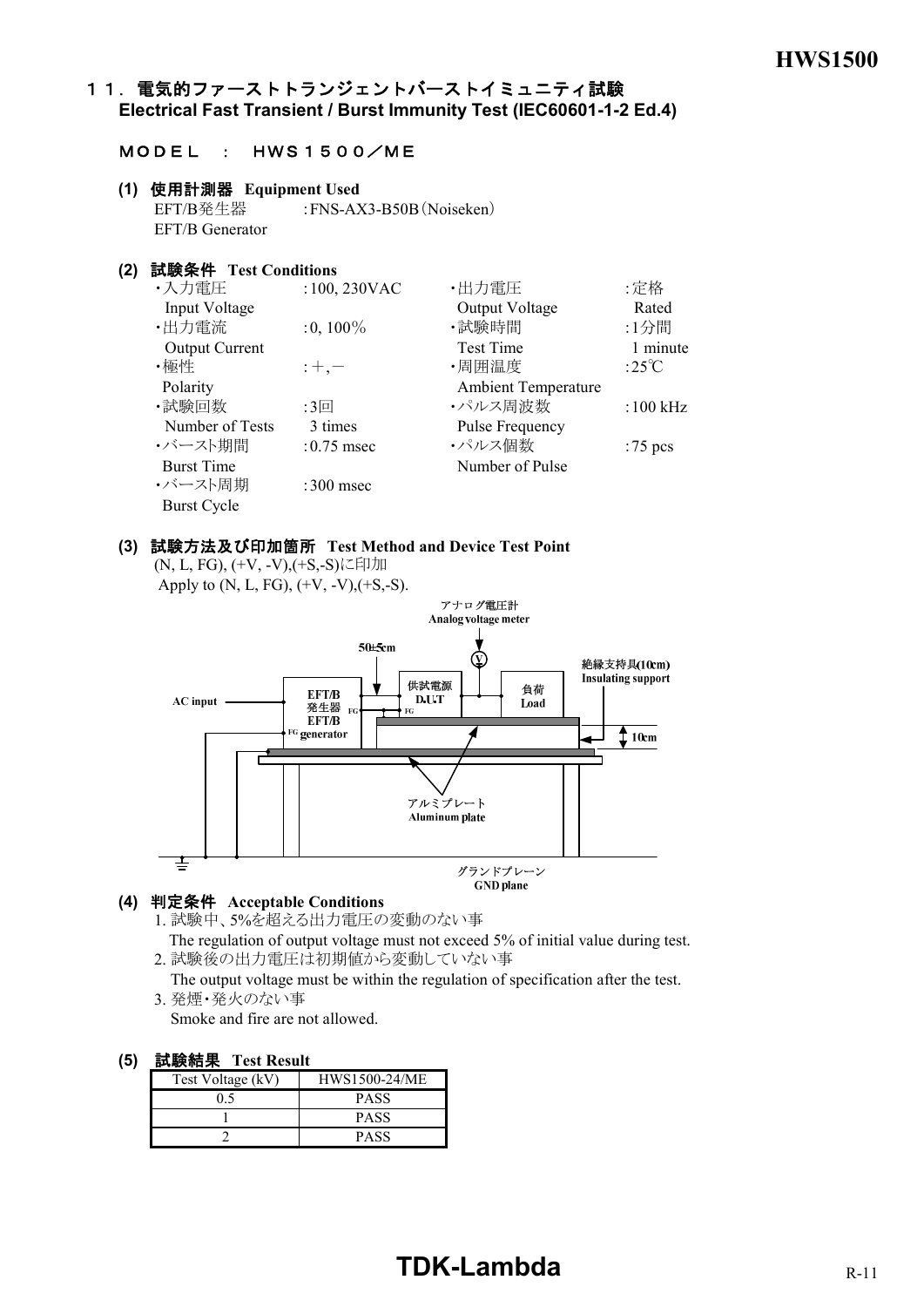## 11. 電気的ファーストトランジェントバーストイミュニティ試験 **Electrical Fast Transient / Burst Immunity Test (IEC60601-1-2 Ed.4)**

## MODEL : HWS1500/ME

**(1)** 使用計測器 **Equipment Used** EFT/B発生器 :FNS-AX3-B50B(Noiseken) EFT/B Generator

## **(2)** 試験条件 **Test Conditions**

| ・入力電圧                 | $:100,230$ VAC | ・出力電圧                      | :定格              |
|-----------------------|----------------|----------------------------|------------------|
| Input Voltage         |                | Output Voltage             | Rated            |
| ·出力電流                 | $:0,100\%$     | ・試験時間                      | :1分間             |
| <b>Output Current</b> |                | <b>Test Time</b>           | 1 minute         |
| ・極性                   | $: +, -$       | ·周囲温度                      | :25 $\mathrm{C}$ |
| Polarity              |                | <b>Ambient Temperature</b> |                  |
| ・試験回数                 | :3回            | ・パルス周波数                    | $:100$ kHz       |
| Number of Tests       | 3 times        | <b>Pulse Frequency</b>     |                  |
| ・バースト期間               | $:0.75$ msec   | ・パルス個数                     | :75 $pcs$        |
| <b>Burst Time</b>     |                | Number of Pulse            |                  |
| ・バースト周期               | $:300$ msec    |                            |                  |
| <b>Burst Cycle</b>    |                |                            |                  |

#### **(3)** 試験方法及び印加箇所 **Test Method and Device Test Point**

(N, L, FG), (+V, -V),(+S,-S)に印加 Apply to  $(N, L, FG), (+V, -V), (+S, -S).$ 



#### **(4)** 判定条件 **Acceptable Conditions**

- 1. 試験中、5%を超える出力電圧の変動のない事 The regulation of output voltage must not exceed 5% of initial value during test.
- 2. 試験後の出力電圧は初期値から変動していない事
- The output voltage must be within the regulation of specification after the test. 3. 発煙・発火のない事

Smoke and fire are not allowed.

| -- - - - - - - - - - |               |  |  |  |
|----------------------|---------------|--|--|--|
| Test Voltage (kV)    | HWS1500-24/ME |  |  |  |
| 0.5                  | <b>PASS</b>   |  |  |  |
|                      | <b>PASS</b>   |  |  |  |
|                      | PASS          |  |  |  |